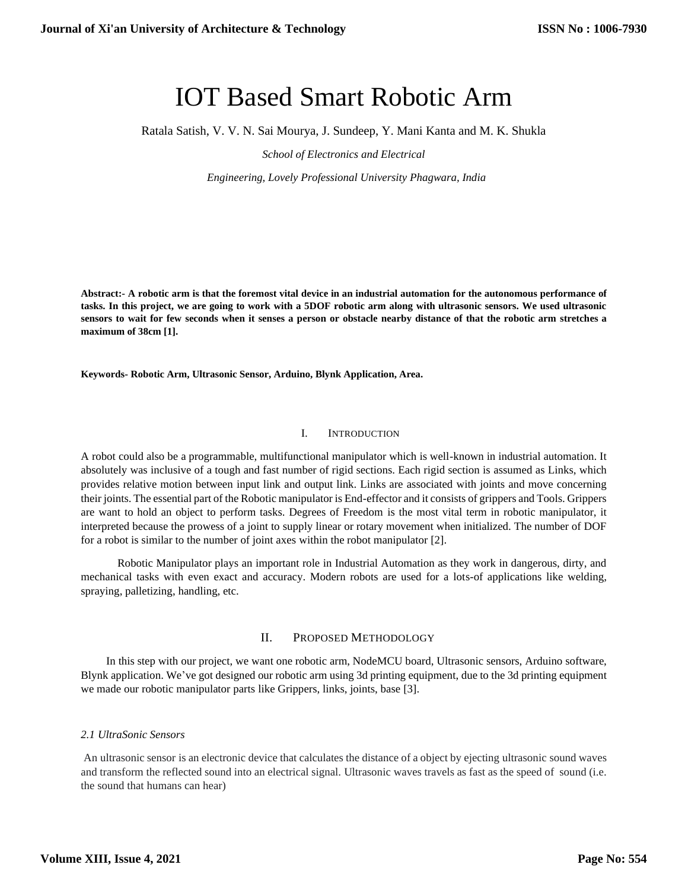# IOT Based Smart Robotic Arm

Ratala Satish, V. V. N. Sai Mourya, J. Sundeep, Y. Mani Kanta and M. K. Shukla

*School of Electronics and Electrical* 

 *Engineering, Lovely Professional University Phagwara, India*

**Abstract:- A robotic arm is that the foremost vital device in an industrial automation for the autonomous performance of tasks. In this project, we are going to work with a 5DOF robotic arm along with ultrasonic sensors. We used ultrasonic sensors to wait for few seconds when it senses a person or obstacle nearby distance of that the robotic arm stretches a maximum of 38cm [1].**

**Keywords- Robotic Arm, Ultrasonic Sensor, Arduino, Blynk Application, Area.**

#### I. INTRODUCTION

A robot could also be a programmable, multifunctional manipulator which is well-known in industrial automation. It absolutely was inclusive of a tough and fast number of rigid sections. Each rigid section is assumed as Links, which provides relative motion between input link and output link. Links are associated with joints and move concerning their joints. The essential part of the Robotic manipulator is End-effector and it consists of grippers and Tools. Grippers are want to hold an object to perform tasks. Degrees of Freedom is the most vital term in robotic manipulator, it interpreted because the prowess of a joint to supply linear or rotary movement when initialized. The number of DOF for a robot is similar to the number of joint axes within the robot manipulator [2].

 Robotic Manipulator plays an important role in Industrial Automation as they work in dangerous, dirty, and mechanical tasks with even exact and accuracy. Modern robots are used for a lots-of applications like welding, spraying, palletizing, handling, etc.

## II. PROPOSED METHODOLOGY

 In this step with our project, we want one robotic arm, NodeMCU board, Ultrasonic sensors, Arduino software, Blynk application. We've got designed our robotic arm using 3d printing equipment, due to the 3d printing equipment we made our robotic manipulator parts like Grippers, links, joints, base [3].

## *2.1 UltraSonic Sensors*

An ultrasonic sensor is an electronic device that calculates the distance of a object by ejecting ultrasonic sound waves and transform the reflected sound into an electrical signal. Ultrasonic waves travels as fast as the speed of sound (i.e. the sound that humans can hear)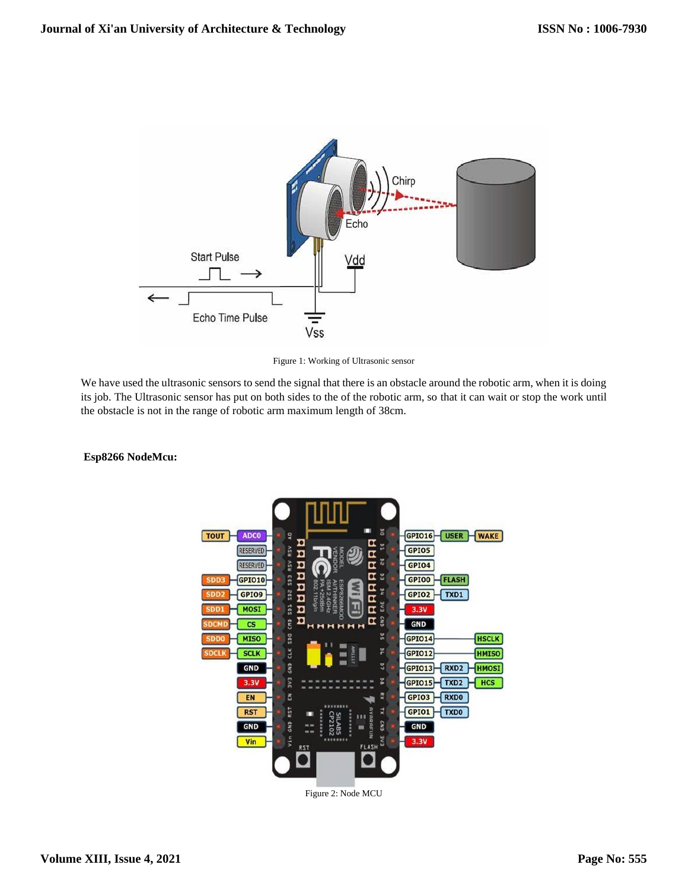

Figure 1: Working of Ultrasonic sensor

We have used the ultrasonic sensors to send the signal that there is an obstacle around the robotic arm, when it is doing its job. The Ultrasonic sensor has put on both sides to the of the robotic arm, so that it can wait or stop the work until the obstacle is not in the range of robotic arm maximum length of 38cm.



# **Esp8266 NodeMcu:**

Figure 2: Node MCU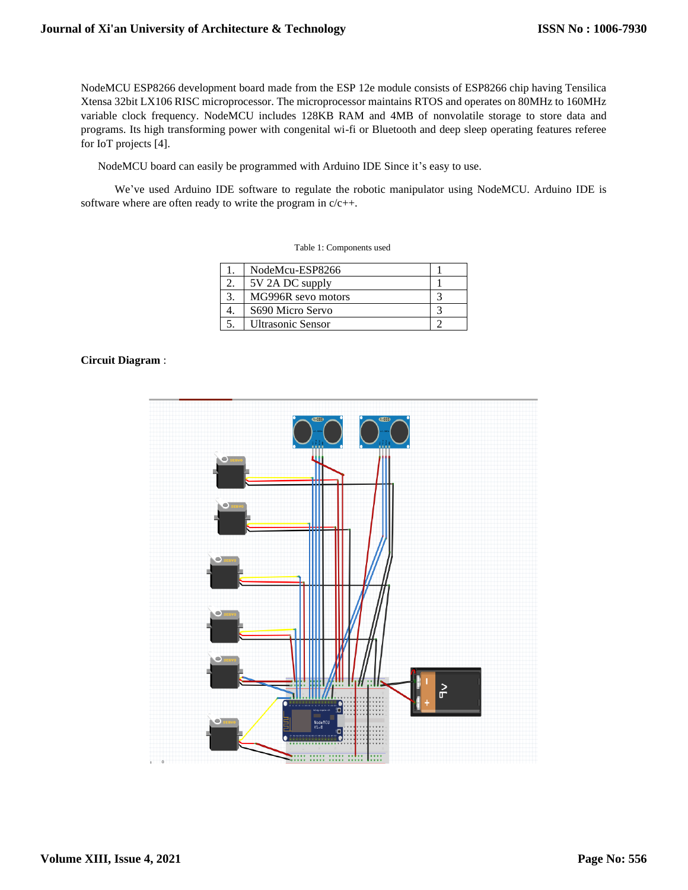NodeMCU ESP8266 development board made from the ESP 12e module consists of ESP8266 chip having Tensilica Xtensa 32bit LX106 RISC microprocessor. The microprocessor maintains RTOS and operates on 80MHz to 160MHz variable clock frequency. NodeMCU includes 128KB RAM and 4MB of nonvolatile storage to store data and programs. Its high transforming power with congenital wi-fi or Bluetooth and deep sleep operating features referee for IoT projects [4].

NodeMCU board can easily be programmed with Arduino IDE Since it's easy to use.

 We've used Arduino IDE software to regulate the robotic manipulator using NodeMCU. Arduino IDE is software where are often ready to write the program in c/c++.

Table 1: Components used

| NodeMcu-ESP8266          |  |
|--------------------------|--|
| 5V 2A DC supply          |  |
| MG996R sevo motors       |  |
| S690 Micro Servo         |  |
| <b>Ultrasonic Sensor</b> |  |

# **Circuit Diagram** :

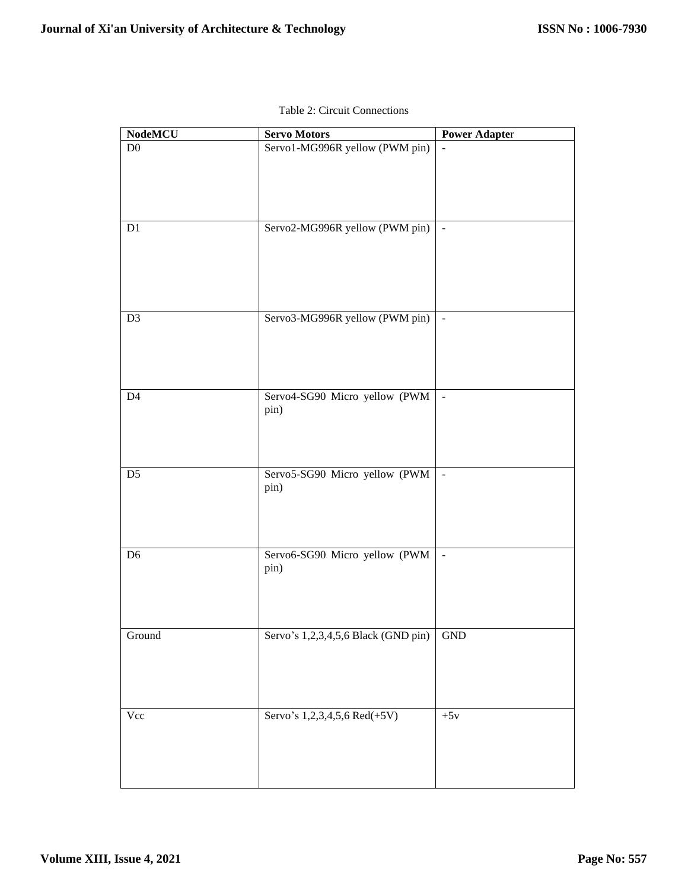| <b>NodeMCU</b> | <b>Servo Motors</b>                   | <b>Power Adapter</b> |
|----------------|---------------------------------------|----------------------|
| D <sub>0</sub> | Servo1-MG996R yellow (PWM pin)        |                      |
| D1             | Servo2-MG996R yellow (PWM pin)        |                      |
| D <sub>3</sub> | Servo3-MG996R yellow (PWM pin)        |                      |
| D <sub>4</sub> | Servo4-SG90 Micro yellow (PWM<br>pin) |                      |
| D <sub>5</sub> | Servo5-SG90 Micro yellow (PWM<br>pin) |                      |
| D <sub>6</sub> | Servo6-SG90 Micro yellow (PWM<br>pin) | $\overline{a}$       |

Ground Servo's 1,2,3,4,5,6 Black (GND pin) GND

 $Vcc$  Servo's 1,2,3,4,5,6 Red(+5V) +5v

| Table 2: Circuit Connections |  |
|------------------------------|--|
|------------------------------|--|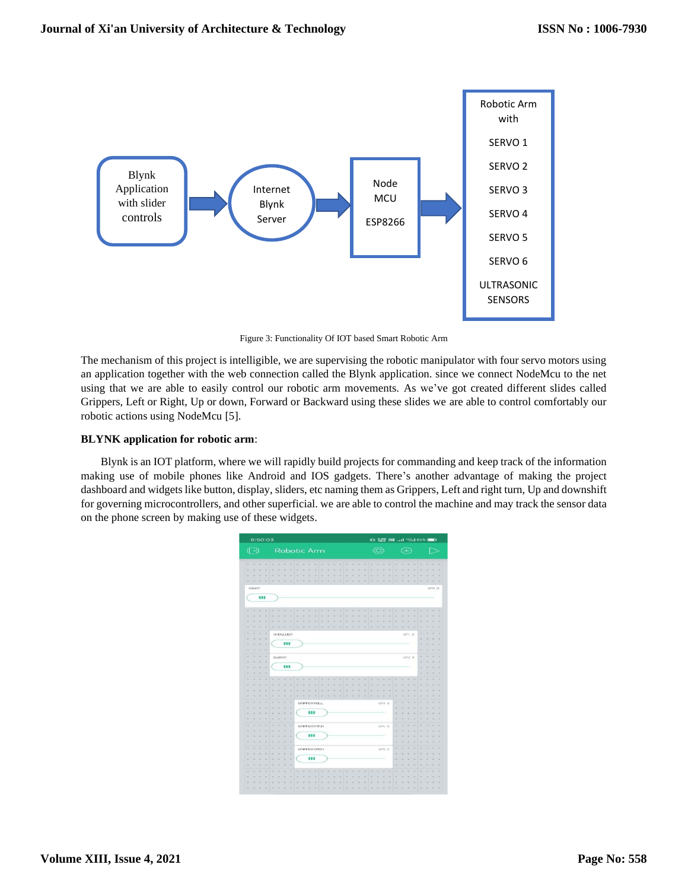

Figure 3: Functionality Of IOT based Smart Robotic Arm

The mechanism of this project is intelligible, we are supervising the robotic manipulator with four servo motors using an application together with the web connection called the Blynk application. since we connect NodeMcu to the net using that we are able to easily control our robotic arm movements. As we've got created different slides called Grippers, Left or Right, Up or down, Forward or Backward using these slides we are able to control comfortably our robotic actions using NodeMcu [5].

# **BLYNK application for robotic arm**:

 Blynk is an IOT platform, where we will rapidly build projects for commanding and keep track of the information making use of mobile phones like Android and IOS gadgets. There's another advantage of making the project dashboard and widgets like button, display, sliders, etc naming them as Grippers, Left and right turn, Up and downshift for governing microcontrollers, and other superficial. we are able to control the machine and may track the sensor data on the phone screen by making use of these widgets.